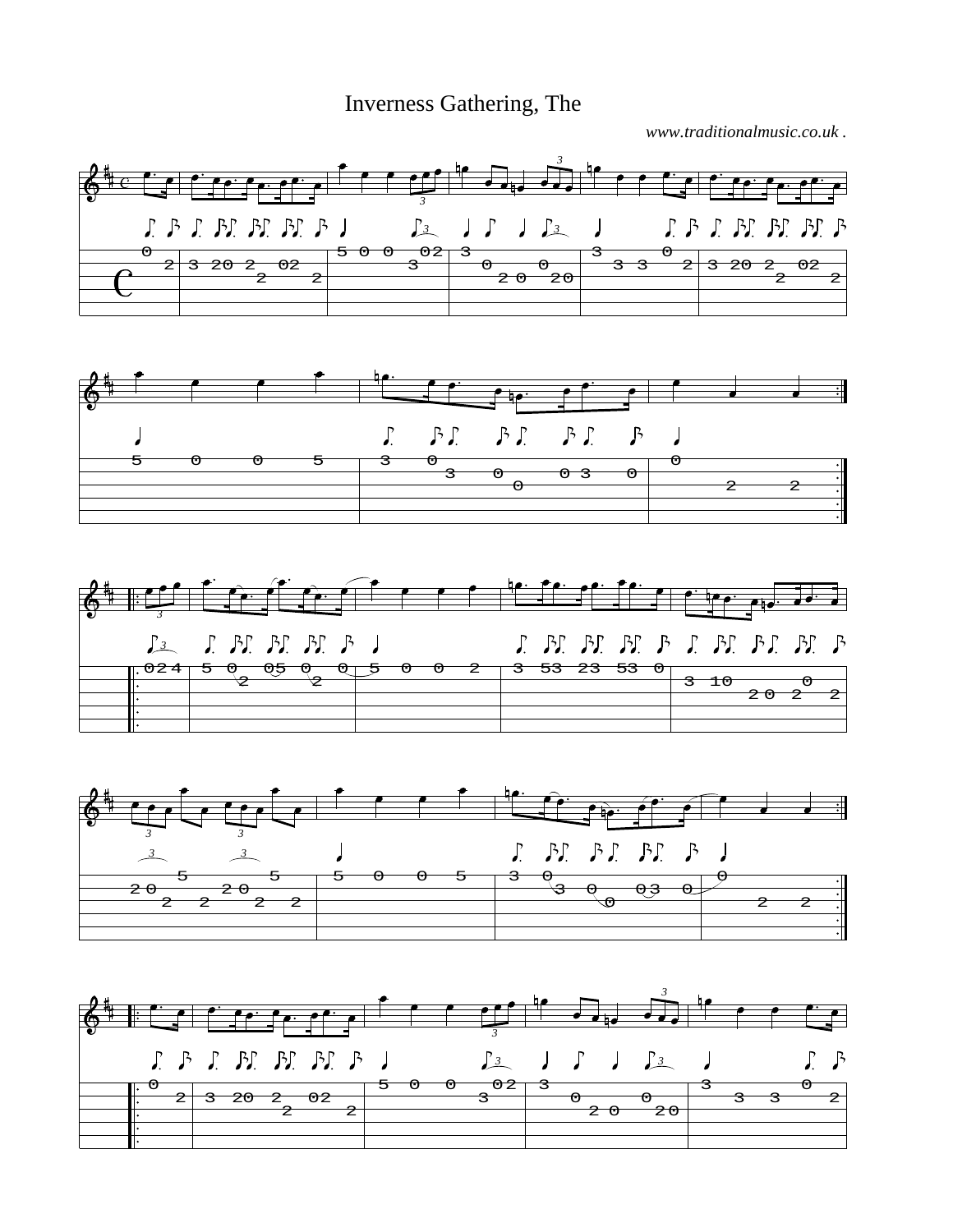Inverness Gathering, The

*www.traditionalmusic.co.uk .*